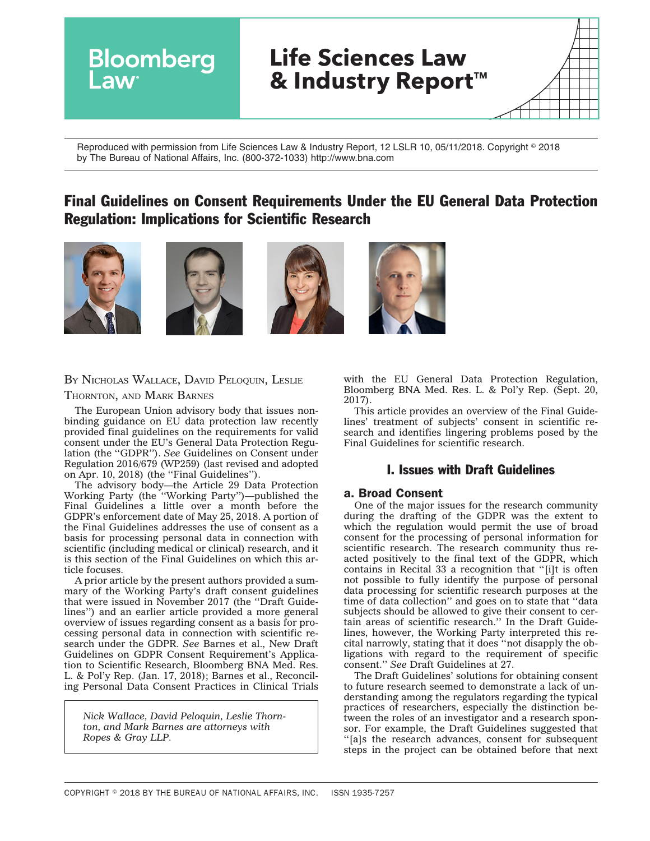

Reproduced with permission from Life Sciences Law & Industry Report, 12 LSLR 10, 05/11/2018. Copyright © 2018 by The Bureau of National Affairs, Inc. (800-372-1033) http://www.bna.com

# Final Guidelines on Consent Requirements Under the EU General Data Protection Regulation: Implications for Scientific Research









## BY NICHOLAS WALLACE, DAVID PELOQUIN, LESLIE

## THORNTON, AND MARK BARNES

The European Union advisory body that issues nonbinding guidance on EU data protection law recently provided final guidelines on the requirements for valid consent under the EU's General Data Protection Regulation (the ''GDPR''). *See* Guidelines on Consent under Regulation 2016/679 (WP259) (last revised and adopted on Apr. 10, 2018) (the ''Final Guidelines'').

The advisory body—the Article 29 Data Protection Working Party (the ''Working Party'')—published the Final Guidelines a little over a month before the GDPR's enforcement date of May 25, 2018. A portion of the Final Guidelines addresses the use of consent as a basis for processing personal data in connection with scientific (including medical or clinical) research, and it is this section of the Final Guidelines on which this article focuses.

A prior article by the present authors provided a summary of the Working Party's draft consent guidelines that were issued in November 2017 (the ''Draft Guidelines'') and an earlier article provided a more general overview of issues regarding consent as a basis for processing personal data in connection with scientific research under the GDPR. *See* Barnes et al., New Draft Guidelines on GDPR Consent Requirement's Application to Scientific Research, Bloomberg BNA Med. Res. L. & Pol'y Rep. (Jan. 17, 2018); Barnes et al., Reconciling Personal Data Consent Practices in Clinical Trials

*Nick Wallace, David Peloquin, Leslie Thornton, and Mark Barnes are attorneys with Ropes & Gray LLP.*

with the EU General Data Protection Regulation, Bloomberg BNA Med. Res. L. & Pol'y Rep. (Sept. 20, 2017).

This article provides an overview of the Final Guidelines' treatment of subjects' consent in scientific research and identifies lingering problems posed by the Final Guidelines for scientific research.

# I. Issues with Draft Guidelines

## a. Broad Consent

One of the major issues for the research community during the drafting of the GDPR was the extent to which the regulation would permit the use of broad consent for the processing of personal information for scientific research. The research community thus reacted positively to the final text of the GDPR, which contains in Recital 33 a recognition that ''[i]t is often not possible to fully identify the purpose of personal data processing for scientific research purposes at the time of data collection'' and goes on to state that ''data subjects should be allowed to give their consent to certain areas of scientific research.'' In the Draft Guidelines, however, the Working Party interpreted this recital narrowly, stating that it does ''not disapply the obligations with regard to the requirement of specific consent.'' *See* Draft Guidelines at 27.

The Draft Guidelines' solutions for obtaining consent to future research seemed to demonstrate a lack of understanding among the regulators regarding the typical practices of researchers, especially the distinction between the roles of an investigator and a research sponsor. For example, the Draft Guidelines suggested that ''[a]s the research advances, consent for subsequent steps in the project can be obtained before that next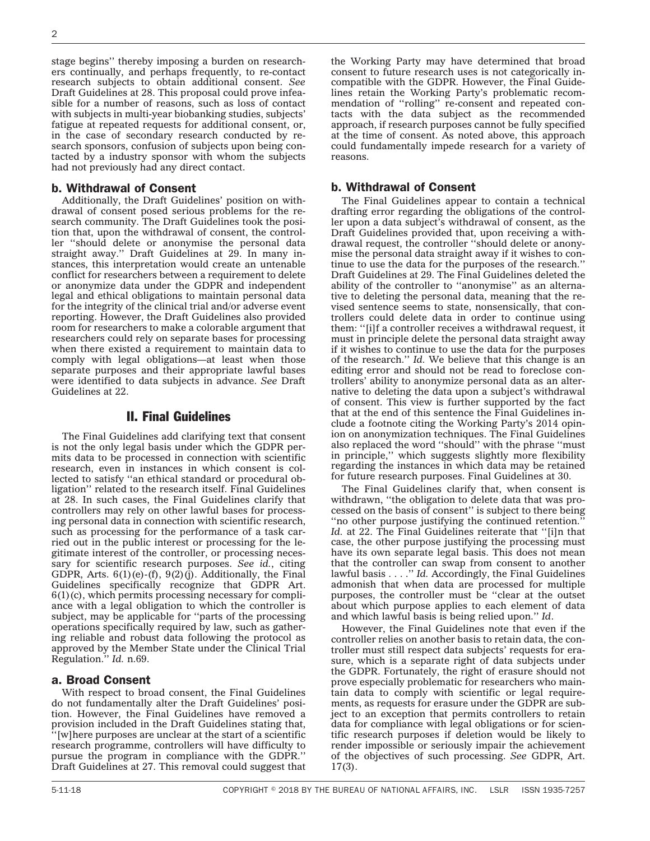stage begins'' thereby imposing a burden on researchers continually, and perhaps frequently, to re-contact research subjects to obtain additional consent. *See* Draft Guidelines at 28. This proposal could prove infeasible for a number of reasons, such as loss of contact with subjects in multi-year biobanking studies, subjects' fatigue at repeated requests for additional consent, or, in the case of secondary research conducted by research sponsors, confusion of subjects upon being contacted by a industry sponsor with whom the subjects had not previously had any direct contact.

### b. Withdrawal of Consent

Additionally, the Draft Guidelines' position on withdrawal of consent posed serious problems for the research community. The Draft Guidelines took the position that, upon the withdrawal of consent, the controller ''should delete or anonymise the personal data straight away.'' Draft Guidelines at 29. In many instances, this interpretation would create an untenable conflict for researchers between a requirement to delete or anonymize data under the GDPR and independent legal and ethical obligations to maintain personal data for the integrity of the clinical trial and/or adverse event reporting. However, the Draft Guidelines also provided room for researchers to make a colorable argument that researchers could rely on separate bases for processing when there existed a requirement to maintain data to comply with legal obligations—at least when those separate purposes and their appropriate lawful bases were identified to data subjects in advance. *See* Draft Guidelines at 22.

# II. Final Guidelines

The Final Guidelines add clarifying text that consent is not the only legal basis under which the GDPR permits data to be processed in connection with scientific research, even in instances in which consent is collected to satisfy ''an ethical standard or procedural obligation'' related to the research itself. Final Guidelines at 28. In such cases, the Final Guidelines clarify that controllers may rely on other lawful bases for processing personal data in connection with scientific research, such as processing for the performance of a task carried out in the public interest or processing for the legitimate interest of the controller, or processing necessary for scientific research purposes. *See id.*, citing GDPR, Arts.  $6(1)(e)$ -(f),  $9(2)(i)$ . Additionally, the Final Guidelines specifically recognize that GDPR Art.  $6(1)(c)$ , which permits processing necessary for compliance with a legal obligation to which the controller is subject, may be applicable for ''parts of the processing operations specifically required by law, such as gathering reliable and robust data following the protocol as approved by the Member State under the Clinical Trial Regulation.'' *Id.* n.69.

#### a. Broad Consent

With respect to broad consent, the Final Guidelines do not fundamentally alter the Draft Guidelines' position. However, the Final Guidelines have removed a provision included in the Draft Guidelines stating that, ''[w]here purposes are unclear at the start of a scientific research programme, controllers will have difficulty to pursue the program in compliance with the GDPR.'' Draft Guidelines at 27. This removal could suggest that

the Working Party may have determined that broad consent to future research uses is not categorically incompatible with the GDPR. However, the Final Guidelines retain the Working Party's problematic recommendation of ''rolling'' re-consent and repeated contacts with the data subject as the recommended approach, if research purposes cannot be fully specified at the time of consent. As noted above, this approach could fundamentally impede research for a variety of reasons.

#### b. Withdrawal of Consent

The Final Guidelines appear to contain a technical drafting error regarding the obligations of the controller upon a data subject's withdrawal of consent, as the Draft Guidelines provided that, upon receiving a withdrawal request, the controller ''should delete or anonymise the personal data straight away if it wishes to continue to use the data for the purposes of the research.'' Draft Guidelines at 29. The Final Guidelines deleted the ability of the controller to ''anonymise'' as an alternative to deleting the personal data, meaning that the revised sentence seems to state, nonsensically, that controllers could delete data in order to continue using them: ''[i]f a controller receives a withdrawal request, it must in principle delete the personal data straight away if it wishes to continue to use the data for the purposes of the research.'' *Id.* We believe that this change is an editing error and should not be read to foreclose controllers' ability to anonymize personal data as an alternative to deleting the data upon a subject's withdrawal of consent. This view is further supported by the fact that at the end of this sentence the Final Guidelines include a footnote citing the Working Party's 2014 opinion on anonymization techniques. The Final Guidelines also replaced the word ''should'' with the phrase ''must in principle,'' which suggests slightly more flexibility regarding the instances in which data may be retained for future research purposes. Final Guidelines at 30.

The Final Guidelines clarify that, when consent is withdrawn, ''the obligation to delete data that was processed on the basis of consent'' is subject to there being ''no other purpose justifying the continued retention.'' *Id.* at 22. The Final Guidelines reiterate that ''[i]n that case, the other purpose justifying the processing must have its own separate legal basis. This does not mean that the controller can swap from consent to another lawful basis . . . .'' *Id.* Accordingly, the Final Guidelines admonish that when data are processed for multiple purposes, the controller must be ''clear at the outset about which purpose applies to each element of data and which lawful basis is being relied upon.'' *Id*.

However, the Final Guidelines note that even if the controller relies on another basis to retain data, the controller must still respect data subjects' requests for erasure, which is a separate right of data subjects under the GDPR. Fortunately, the right of erasure should not prove especially problematic for researchers who maintain data to comply with scientific or legal requirements, as requests for erasure under the GDPR are subject to an exception that permits controllers to retain data for compliance with legal obligations or for scientific research purposes if deletion would be likely to render impossible or seriously impair the achievement of the objectives of such processing. *See* GDPR, Art. 17(3).